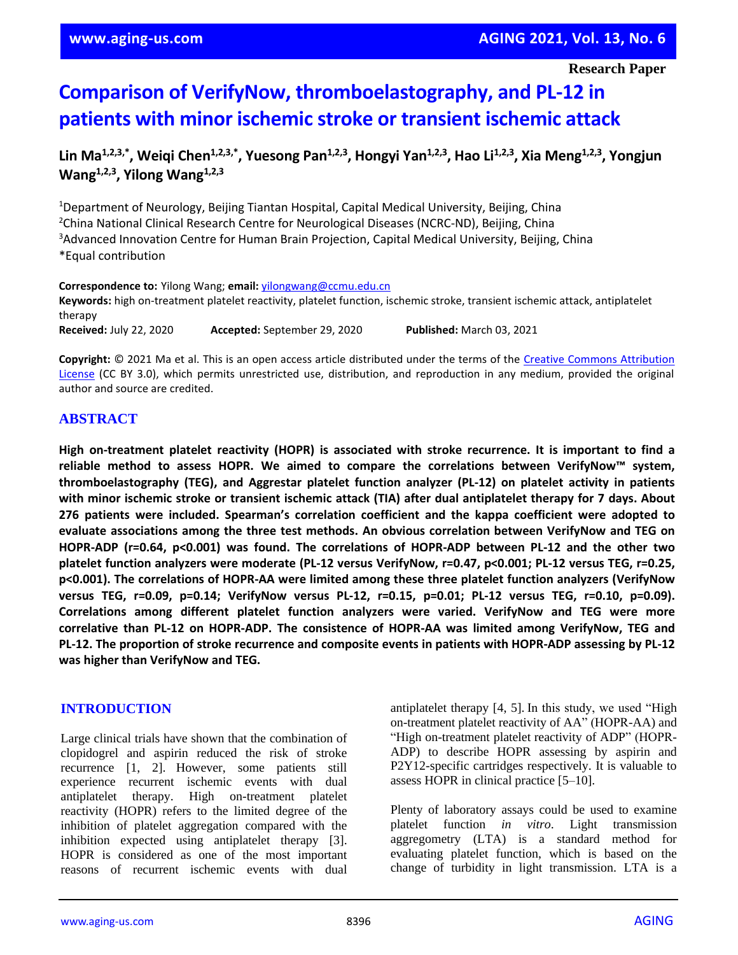# **Comparison of VerifyNow, thromboelastography, and PL-12 in patients with minor ischemic stroke or transient ischemic attack**

Lin Ma<sup>1,2,3,\*</sup>, Weiqi Chen<sup>1,2,3,\*</sup>, Yuesong Pan<sup>1,2,3</sup>, Hongyi Yan<sup>1,2,3</sup>, Hao Li<sup>1,2,3</sup>, Xia Meng<sup>1,2,3</sup>, Yongjun **Wang1,2,3 , Yilong Wang1,2,3**

<sup>1</sup>Department of Neurology, Beijing Tiantan Hospital, Capital Medical University, Beijing, China <sup>2</sup>China National Clinical Research Centre for Neurological Diseases (NCRC-ND), Beijing, China <sup>3</sup>Advanced Innovation Centre for Human Brain Projection, Capital Medical University, Beijing, China \*Equal contribution

**Correspondence to:** Yilong Wang; **email:** [yilongwang@ccmu.edu.cn](mailto:yilongwang@ccmu.edu.cn) **Keywords:** high on-treatment platelet reactivity, platelet function, ischemic stroke, transient ischemic attack, antiplatelet therapy **Received:** July 22, 2020 **Accepted:** September 29, 2020 **Published:** March 03, 2021

**Copyright:** © 2021 Ma et al. This is an open access article distributed under the terms of the [Creative Commons Attribution](https://creativecommons.org/licenses/by/3.0/)  [License](https://creativecommons.org/licenses/by/3.0/) (CC BY 3.0), which permits unrestricted use, distribution, and reproduction in any medium, provided the original author and source are credited.

# **ABSTRACT**

**High on-treatment platelet reactivity (HOPR) is associated with stroke recurrence. It is important to find a reliable method to assess HOPR. We aimed to compare the correlations between VerifyNow™ system, thromboelastography (TEG), and Aggrestar platelet function analyzer (PL-12) on platelet activity in patients** with minor ischemic stroke or transient ischemic attack (TIA) after dual antiplatelet therapy for 7 days. About **276 patients were included. Spearman's correlation coefficient and the kappa coefficient were adopted to evaluate associations among the three test methods. An obvious correlation between VerifyNow and TEG on HOPR-ADP (r=0.64, p<0.001) was found. The correlations of HOPR-ADP between PL-12 and the other two platelet function analyzers were moderate (PL-12 versus VerifyNow, r=0.47, p<0.001; PL-12 versus TEG, r=0.25, p<0.001). The correlations of HOPR-AA were limited among these three platelet function analyzers (VerifyNow versus TEG, r=0.09, p=0.14; VerifyNow versus PL-12, r=0.15, p=0.01; PL-12 versus TEG, r=0.10, p=0.09). Correlations among different platelet function analyzers were varied. VerifyNow and TEG were more correlative than PL-12 on HOPR-ADP. The consistence of HOPR-AA was limited among VerifyNow, TEG and PL-12. The proportion of stroke recurrence and composite events in patients with HOPR-ADP assessing by PL-12 was higher than VerifyNow and TEG.**

# **INTRODUCTION**

Large clinical trials have shown that the combination of clopidogrel and aspirin reduced the risk of stroke recurrence [1, 2]. However, some patients still experience recurrent ischemic events with dual antiplatelet therapy. High on-treatment platelet reactivity (HOPR) refers to the limited degree of the inhibition of platelet aggregation compared with the inhibition expected using antiplatelet therapy [3]. HOPR is considered as one of the most important reasons of recurrent ischemic events with dual

antiplatelet therapy [4, 5]. In this study, we used "High on-treatment platelet reactivity of AA" (HOPR-AA) and "High on-treatment platelet reactivity of ADP" (HOPR-ADP) to describe HOPR assessing by aspirin and P2Y12-specific cartridges respectively. It is valuable to assess HOPR in clinical practice [5–10].

Plenty of laboratory assays could be used to examine platelet function *in vitro*. Light transmission aggregometry (LTA) is a standard method for evaluating platelet function, which is based on the change of turbidity in light transmission. LTA is a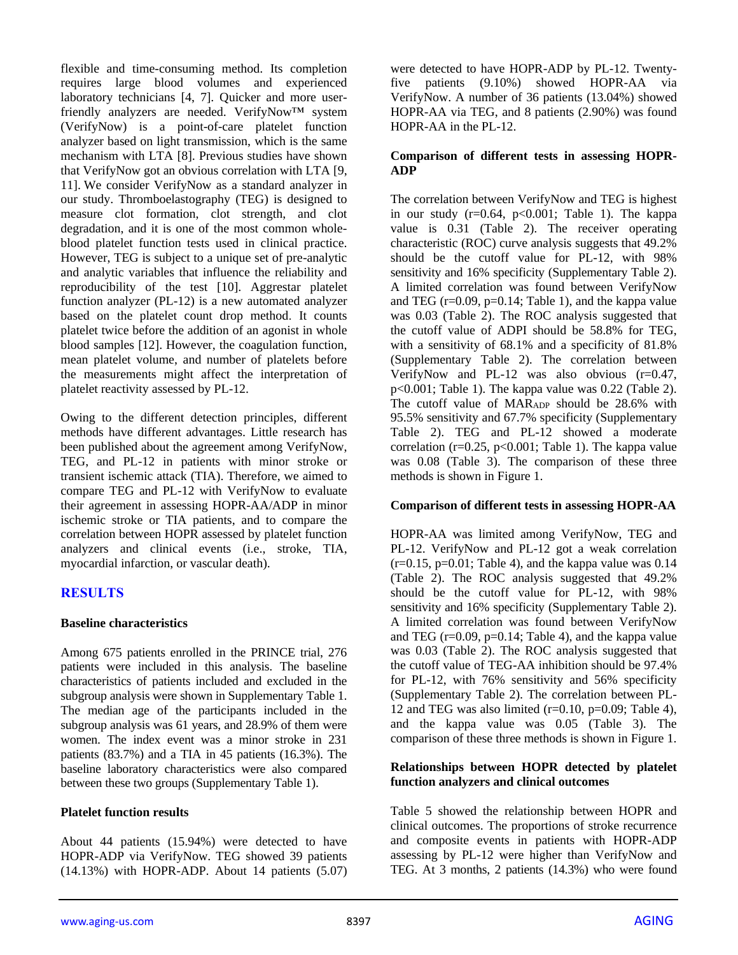flexible and time-consuming method. Its completion requires large blood volumes and experienced laboratory technicians [4, 7]. Quicker and more userfriendly analyzers are needed. VerifyNow™ system (VerifyNow) is a point-of-care platelet function analyzer based on light transmission, which is the same mechanism with LTA [8]. Previous studies have shown that VerifyNow got an obvious correlation with LTA [9, 11]. We consider VerifyNow as a standard analyzer in our study. Thromboelastography (TEG) is designed to measure clot formation, clot strength, and clot degradation, and it is one of the most common wholeblood platelet function tests used in clinical practice. However, TEG is subject to a unique set of pre-analytic and analytic variables that influence the reliability and reproducibility of the test [10]. Aggrestar platelet function analyzer (PL-12) is a new automated analyzer based on the platelet count drop method. It counts platelet twice before the addition of an agonist in whole blood samples [12]. However, the coagulation function, mean platelet volume, and number of platelets before the measurements might affect the interpretation of platelet reactivity assessed by PL-12.

Owing to the different detection principles, different methods have different advantages. Little research has been published about the agreement among VerifyNow, TEG, and PL-12 in patients with minor stroke or transient ischemic attack (TIA). Therefore, we aimed to compare TEG and PL-12 with VerifyNow to evaluate their agreement in assessing HOPR-AA/ADP in minor ischemic stroke or TIA patients, and to compare the correlation between HOPR assessed by platelet function analyzers and clinical events (i.e., stroke, TIA, myocardial infarction, or vascular death).

# **RESULTS**

## **Baseline characteristics**

Among 675 patients enrolled in the PRINCE trial, 276 patients were included in this analysis. The baseline characteristics of patients included and excluded in the subgroup analysis were shown in Supplementary Table 1. The median age of the participants included in the subgroup analysis was 61 years, and 28.9% of them were women. The index event was a minor stroke in 231 patients (83.7%) and a TIA in 45 patients (16.3%). The baseline laboratory characteristics were also compared between these two groups (Supplementary Table 1).

# **Platelet function results**

About 44 patients (15.94%) were detected to have HOPR-ADP via VerifyNow. TEG showed 39 patients (14.13%) with HOPR-ADP. About 14 patients (5.07) were detected to have HOPR-ADP by PL-12. Twentyfive patients (9.10%) showed HOPR-AA via VerifyNow. A number of 36 patients (13.04%) showed HOPR-AA via TEG, and 8 patients (2.90%) was found HOPR-AA in the PL-12.

## **Comparison of different tests in assessing HOPR-ADP**

The correlation between VerifyNow and TEG is highest in our study  $(r=0.64, p<0.001$ ; Table 1). The kappa value is 0.31 (Table 2). The receiver operating characteristic (ROC) curve analysis suggests that 49.2% should be the cutoff value for PL-12, with 98% sensitivity and 16% specificity (Supplementary Table 2). A limited correlation was found between VerifyNow and TEG  $(r=0.09, p=0.14;$  Table 1), and the kappa value was 0.03 (Table 2). The ROC analysis suggested that the cutoff value of ADPI should be 58.8% for TEG, with a sensitivity of 68.1% and a specificity of 81.8% (Supplementary Table 2). The correlation between VerifyNow and PL-12 was also obvious  $(r=0.47,$ p<0.001; Table 1). The kappa value was 0.22 (Table 2). The cutoff value of MAR<sub>ADP</sub> should be 28.6% with 95.5% sensitivity and 67.7% specificity (Supplementary Table 2). TEG and PL-12 showed a moderate correlation ( $r=0.25$ ,  $p<0.001$ ; Table 1). The kappa value was 0.08 (Table 3). The comparison of these three methods is shown in Figure 1.

## **Comparison of different tests in assessing HOPR-AA**

HOPR-AA was limited among VerifyNow, TEG and PL-12. VerifyNow and PL-12 got a weak correlation  $(r=0.15, p=0.01;$  Table 4), and the kappa value was 0.14 (Table 2). The ROC analysis suggested that 49.2% should be the cutoff value for PL-12, with 98% sensitivity and 16% specificity (Supplementary Table 2). A limited correlation was found between VerifyNow and TEG  $(r=0.09, p=0.14;$  Table 4), and the kappa value was 0.03 (Table 2). The ROC analysis suggested that the cutoff value of TEG-AA inhibition should be 97.4% for PL-12, with 76% sensitivity and 56% specificity (Supplementary Table 2). The correlation between PL-12 and TEG was also limited  $(r=0.10, p=0.09;$  Table 4), and the kappa value was 0.05 (Table 3). The comparison of these three methods is shown in Figure 1.

## **Relationships between HOPR detected by platelet function analyzers and clinical outcomes**

Table 5 showed the relationship between HOPR and clinical outcomes. The proportions of stroke recurrence and composite events in patients with HOPR-ADP assessing by PL-12 were higher than VerifyNow and TEG. At 3 months, 2 patients (14.3%) who were found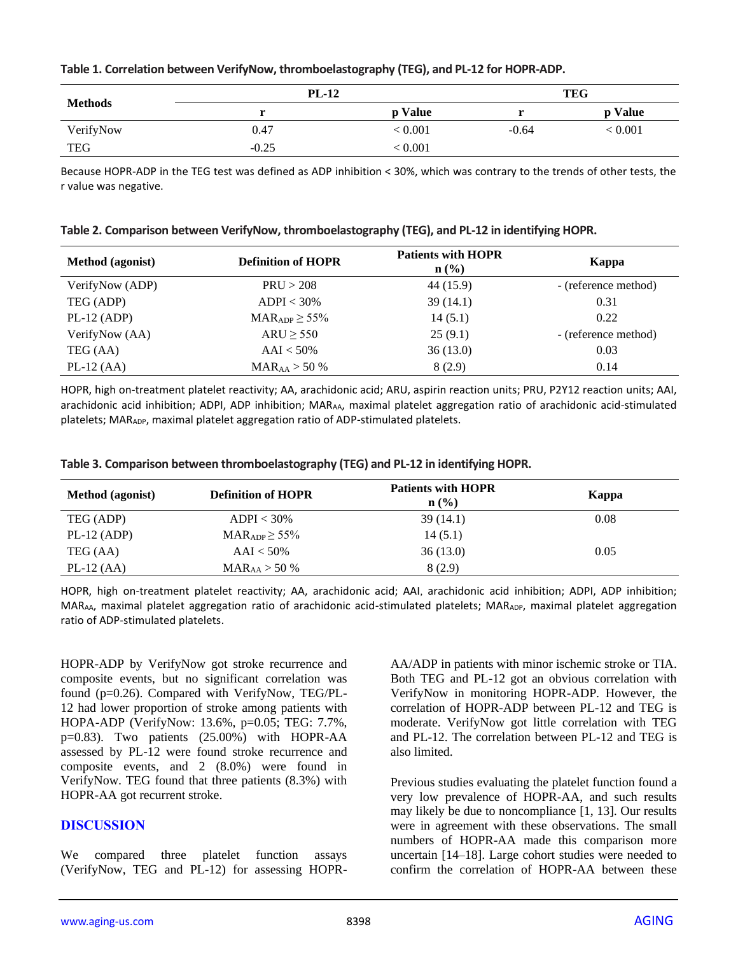|  |  | Table 1. Correlation between VerifyNow, thromboelastography (TEG), and PL-12 for HOPR-ADP. |
|--|--|--------------------------------------------------------------------------------------------|
|--|--|--------------------------------------------------------------------------------------------|

| <b>Methods</b> | <b>PL-12</b> |         |         | TEG     |
|----------------|--------------|---------|---------|---------|
|                |              | p Value |         | p Value |
| VerifyNow      | 0.47         | < 0.001 | $-0.64$ | < 0.001 |
| <b>TEG</b>     | $-0.25$      | < 0.001 |         |         |

Because HOPR-ADP in the TEG test was defined as ADP inhibition < 30%, which was contrary to the trends of other tests, the r value was negative.

|  |  |  |  | Table 2. Comparison between VerifyNow, thromboelastography (TEG), and PL-12 in identifying HOPR. |
|--|--|--|--|--------------------------------------------------------------------------------------------------|
|--|--|--|--|--------------------------------------------------------------------------------------------------|

| <b>Method</b> (agonist) | <b>Definition of HOPR</b>           | <b>Patients with HOPR</b><br>$n ( \% )$ | Kappa                |
|-------------------------|-------------------------------------|-----------------------------------------|----------------------|
| VerifyNow (ADP)         | PRU > 208                           | 44 (15.9)                               | - (reference method) |
| TEG (ADP)               | $ADPI < 30\%$                       | 39(14.1)                                | 0.31                 |
| $PL-12$ (ADP)           | $\text{MAR}_{\text{ADP}} \geq 55\%$ | 14(5.1)                                 | 0.22                 |
| VerifyNow (AA)          | $ARU \geq 550$                      | 25(9.1)                                 | - (reference method) |
| TEG (AA)                | $AAI < 50\%$                        | 36(13.0)                                | 0.03                 |
| $PL-12$ (AA)            | $\text{MAR}_{\text{AA}} > 50\%$     | 8(2.9)                                  | 0.14                 |

HOPR, high on-treatment platelet reactivity; AA, arachidonic acid; ARU, aspirin reaction units; PRU, P2Y12 reaction units; AAI, arachidonic acid inhibition; ADPI, ADP inhibition; MAR<sub>AA</sub>, maximal platelet aggregation ratio of arachidonic acid-stimulated platelets; MAR<sub>ADP</sub>, maximal platelet aggregation ratio of ADP-stimulated platelets.

|  |  |  | Table 3. Comparison between thromboelastography (TEG) and PL-12 in identifying HOPR. |
|--|--|--|--------------------------------------------------------------------------------------|
|  |  |  |                                                                                      |

| <b>Method</b> (agonist) | <b>Definition of HOPR</b>           | <b>Patients with HOPR</b><br>$n\left(\frac{0}{0}\right)$ | Kappa |
|-------------------------|-------------------------------------|----------------------------------------------------------|-------|
| TEG (ADP)               | $ADPI < 30\%$                       | 39(14.1)                                                 | 0.08  |
| $PL-12$ (ADP)           | $\text{MAR}_{\text{ADP}} \geq 55\%$ | 14(5.1)                                                  |       |
| TEG (AA)                | $AAI < 50\%$                        | 36(13.0)                                                 | 0.05  |
| $PL-12$ (AA)            | $MAR_{AA} > 50\%$                   | 8 (2.9)                                                  |       |

HOPR, high on-treatment platelet reactivity; AA, arachidonic acid; AAI, arachidonic acid inhibition; ADPI, ADP inhibition; MAR<sub>AA</sub>, maximal platelet aggregation ratio of arachidonic acid-stimulated platelets; MAR<sub>ADP</sub>, maximal platelet aggregation ratio of ADP-stimulated platelets.

HOPR-ADP by VerifyNow got stroke recurrence and composite events, but no significant correlation was found (p=0.26). Compared with VerifyNow, TEG/PL-12 had lower proportion of stroke among patients with HOPA-ADP (VerifyNow: 13.6%, p=0.05; TEG: 7.7%, p=0.83). Two patients (25.00%) with HOPR-AA assessed by PL-12 were found stroke recurrence and composite events, and 2 (8.0%) were found in VerifyNow. TEG found that three patients (8.3%) with HOPR-AA got recurrent stroke.

# **DISCUSSION**

We compared three platelet function assays (VerifyNow, TEG and PL-12) for assessing HOPR- AA/ADP in patients with minor ischemic stroke or TIA. Both TEG and PL-12 got an obvious correlation with VerifyNow in monitoring HOPR-ADP. However, the correlation of HOPR-ADP between PL-12 and TEG is moderate. VerifyNow got little correlation with TEG and PL-12. The correlation between PL-12 and TEG is also limited.

Previous studies evaluating the platelet function found a very low prevalence of HOPR-AA, and such results may likely be due to noncompliance [1, 13]. Our results were in agreement with these observations. The small numbers of HOPR-AA made this comparison more uncertain [14–18]. Large cohort studies were needed to confirm the correlation of HOPR-AA between these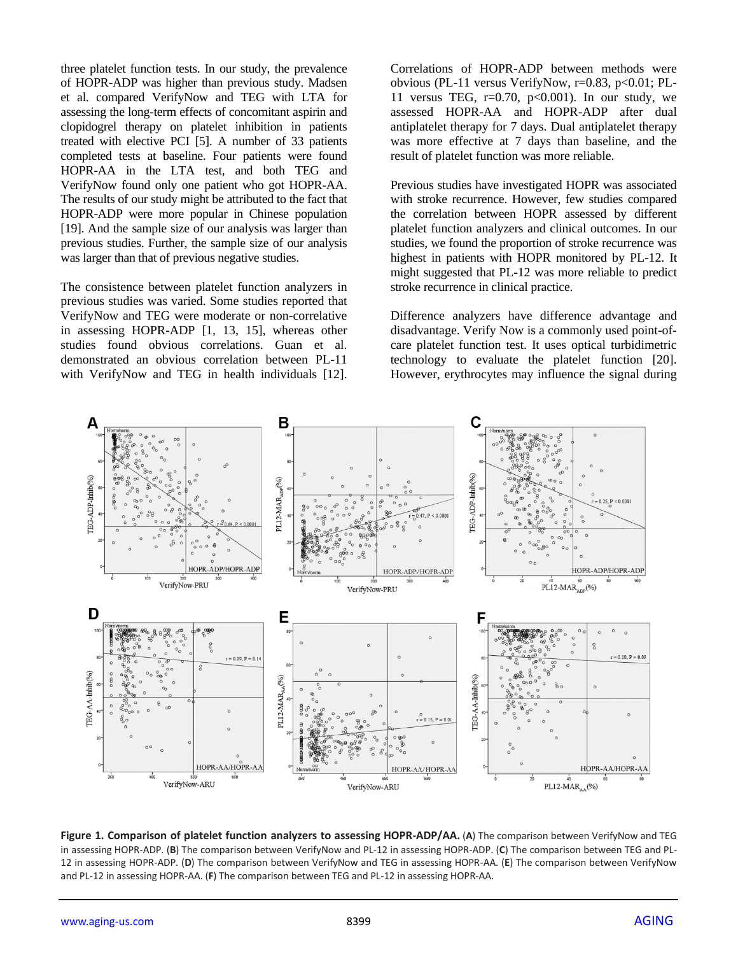three platelet function tests. In our study, the prevalence of HOPR-ADP was higher than previous study. Madsen et al. compared VerifyNow and TEG with LTA for assessing the long-term effects of concomitant aspirin and clopidogrel therapy on platelet inhibition in patients treated with elective PCI [5]. A number of 33 patients completed tests at baseline. Four patients were found HOPR-AA in the LTA test, and both TEG and VerifyNow found only one patient who got HOPR-AA. The results of our study might be attributed to the fact that HOPR-ADP were more popular in Chinese population [19]. And the sample size of our analysis was larger than previous studies. Further, the sample size of our analysis was larger than that of previous negative studies.

The consistence between platelet function analyzers in previous studies was varied. Some studies reported that VerifyNow and TEG were moderate or non-correlative in assessing HOPR-ADP [1, 13, 15], whereas other studies found obvious correlations. Guan et al. demonstrated an obvious correlation between PL-11 with VerifyNow and TEG in health individuals [12].

Correlations of HOPR-ADP between methods were obvious (PL-11 versus VerifyNow, r=0.83, p<0.01; PL-11 versus TEG,  $r=0.70$ ,  $p<0.001$ ). In our study, we assessed HOPR-AA and HOPR-ADP after dual antiplatelet therapy for 7 days. Dual antiplatelet therapy was more effective at 7 days than baseline, and the result of platelet function was more reliable.

Previous studies have investigated HOPR was associated with stroke recurrence. However, few studies compared the correlation between HOPR assessed by different platelet function analyzers and clinical outcomes. In our studies, we found the proportion of stroke recurrence was highest in patients with HOPR monitored by PL-12. It might suggested that PL-12 was more reliable to predict stroke recurrence in clinical practice.

Difference analyzers have difference advantage and disadvantage. Verify Now is a commonly used point-ofcare platelet function test. It uses optical turbidimetric technology to evaluate the platelet function [20]. However, erythrocytes may influence the signal during



**Figure 1. Comparison of platelet function analyzers to assessing HOPR-ADP/AA.** (**A**) The comparison between VerifyNow and TEG in assessing HOPR-ADP. (**B**) The comparison between VerifyNow and PL-12 in assessing HOPR-ADP. (**C**) The comparison between TEG and PL-12 in assessing HOPR-ADP. (**D**) The comparison between VerifyNow and TEG in assessing HOPR-AA. (**E**) The comparison between VerifyNow and PL-12 in assessing HOPR-AA. (**F**) The comparison between TEG and PL-12 in assessing HOPR-AA.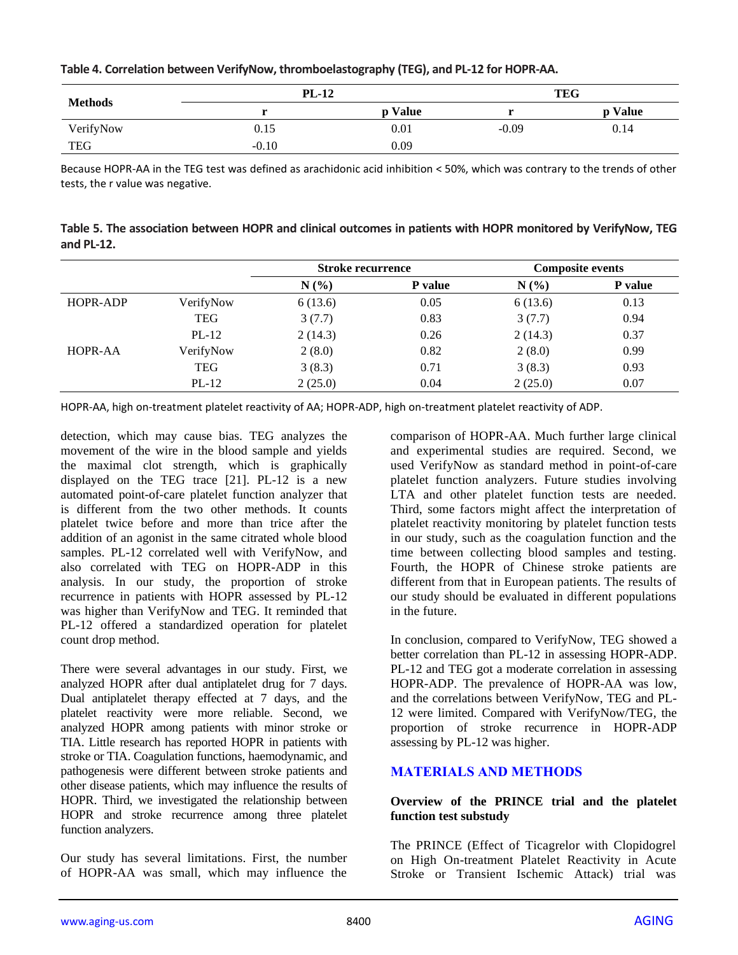|  |  |  |  |  |  |  |  | Table 4. Correlation between VerifyNow, thromboelastography (TEG), and PL-12 for HOPR-AA. |
|--|--|--|--|--|--|--|--|-------------------------------------------------------------------------------------------|
|--|--|--|--|--|--|--|--|-------------------------------------------------------------------------------------------|

|                | $PL-12$ |         |         | <b>TEG</b> |
|----------------|---------|---------|---------|------------|
| <b>Methods</b> |         | p Value |         | p Value    |
| VerifyNow      | 0.15    | 0.01    | $-0.09$ | 0.14       |
| <b>TEG</b>     | $-0.10$ | 0.09    |         |            |

Because HOPR-AA in the TEG test was defined as arachidonic acid inhibition < 50%, which was contrary to the trends of other tests, the r value was negative.

| Table 5. The association between HOPR and clinical outcomes in patients with HOPR monitored by VerifyNow, TEG |  |
|---------------------------------------------------------------------------------------------------------------|--|
| and $PL-12$ .                                                                                                 |  |

|          |            | <b>Stroke recurrence</b> |         | <b>Composite events</b> |         |
|----------|------------|--------------------------|---------|-------------------------|---------|
|          |            | N(%)                     | P value | N(%)                    | P value |
| HOPR-ADP | VerifyNow  | 6(13.6)                  | 0.05    | 6(13.6)                 | 0.13    |
|          | <b>TEG</b> | 3(7.7)                   | 0.83    | 3(7.7)                  | 0.94    |
|          | $PL-12$    | 2(14.3)                  | 0.26    | 2(14.3)                 | 0.37    |
| HOPR-AA  | VerifyNow  | 2(8.0)                   | 0.82    | 2(8.0)                  | 0.99    |
|          | <b>TEG</b> | 3(8.3)                   | 0.71    | 3(8.3)                  | 0.93    |
|          | $PL-12$    | 2(25.0)                  | 0.04    | 2(25.0)                 | 0.07    |

HOPR-AA, high on-treatment platelet reactivity of AA; HOPR-ADP, high on-treatment platelet reactivity of ADP.

detection, which may cause bias. TEG analyzes the movement of the wire in the blood sample and yields the maximal clot strength, which is graphically displayed on the TEG trace [21]. PL-12 is a new automated point-of-care platelet function analyzer that is different from the two other methods. It counts platelet twice before and more than trice after the addition of an agonist in the same citrated whole blood samples. PL-12 correlated well with VerifyNow, and also correlated with TEG on HOPR-ADP in this analysis. In our study, the proportion of stroke recurrence in patients with HOPR assessed by PL-12 was higher than VerifyNow and TEG. It reminded that PL-12 offered a standardized operation for platelet count drop method.

There were several advantages in our study. First, we analyzed HOPR after dual antiplatelet drug for 7 days. Dual antiplatelet therapy effected at 7 days, and the platelet reactivity were more reliable. Second, we analyzed HOPR among patients with minor stroke or TIA. Little research has reported HOPR in patients with stroke or TIA. Coagulation functions, haemodynamic, and pathogenesis were different between stroke patients and other disease patients, which may influence the results of HOPR. Third, we investigated the relationship between HOPR and stroke recurrence among three platelet function analyzers.

Our study has several limitations. First, the number of HOPR-AA was small, which may influence the comparison of HOPR-AA. Much further large clinical and experimental studies are required. Second, we used VerifyNow as standard method in point-of-care platelet function analyzers. Future studies involving LTA and other platelet function tests are needed. Third, some factors might affect the interpretation of platelet reactivity monitoring by platelet function tests in our study, such as the coagulation function and the time between collecting blood samples and testing. Fourth, the HOPR of Chinese stroke patients are different from that in European patients. The results of our study should be evaluated in different populations in the future.

In conclusion, compared to VerifyNow, TEG showed a better correlation than PL-12 in assessing HOPR-ADP. PL-12 and TEG got a moderate correlation in assessing HOPR-ADP. The prevalence of HOPR-AA was low, and the correlations between VerifyNow, TEG and PL-12 were limited. Compared with VerifyNow/TEG, the proportion of stroke recurrence in HOPR-ADP assessing by PL-12 was higher.

# **MATERIALS AND METHODS**

## **Overview of the PRINCE trial and the platelet function test substudy**

The PRINCE (Effect of Ticagrelor with Clopidogrel on High On-treatment Platelet Reactivity in Acute Stroke or Transient Ischemic Attack) trial was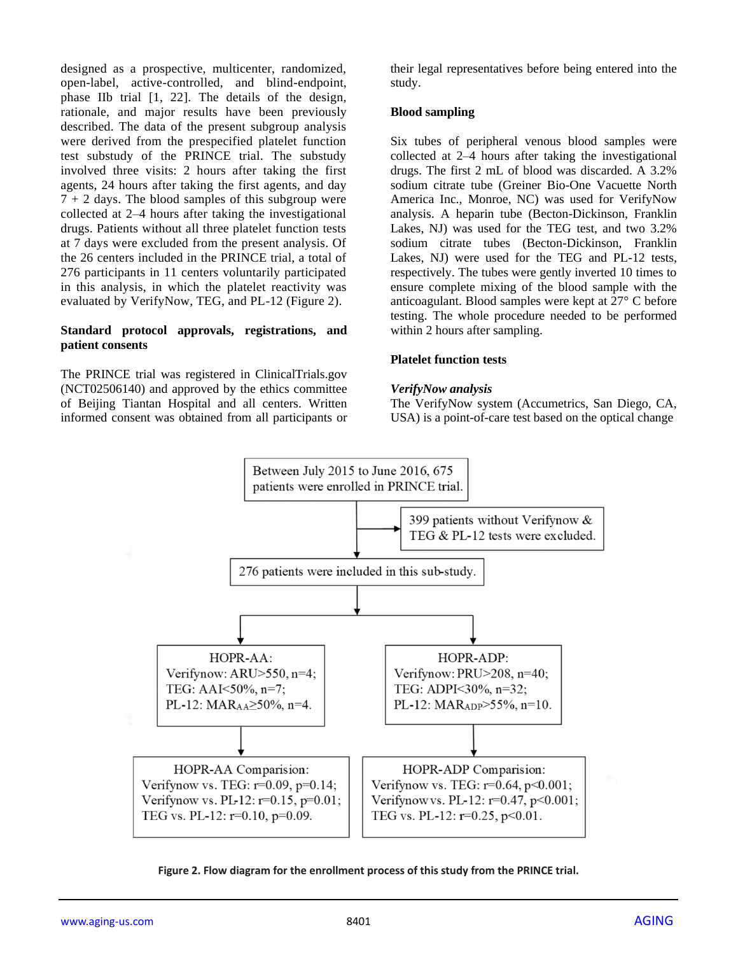designed as a prospective, multicenter, randomized, open-label, active-controlled, and blind-endpoint, phase IIb trial [1, 22]. The details of the design, rationale, and major results have been previously described. The data of the present subgroup analysis were derived from the prespecified platelet function test substudy of the PRINCE trial. The substudy involved three visits: 2 hours after taking the first agents, 24 hours after taking the first agents, and day  $7 + 2$  days. The blood samples of this subgroup were collected at 2–4 hours after taking the investigational drugs. Patients without all three platelet function tests at 7 days were excluded from the present analysis. Of the 26 centers included in the PRINCE trial, a total of 276 participants in 11 centers voluntarily participated in this analysis, in which the platelet reactivity was evaluated by VerifyNow, TEG, and PL-12 (Figure 2).

#### **Standard protocol approvals, registrations, and patient consents**

The PRINCE trial was registered in ClinicalTrials.gov (NCT02506140) and approved by the ethics committee of Beijing Tiantan Hospital and all centers. Written informed consent was obtained from all participants or their legal representatives before being entered into the study.

## **Blood sampling**

Six tubes of peripheral venous blood samples were collected at 2–4 hours after taking the investigational drugs. The first 2 mL of blood was discarded. A 3.2% sodium citrate tube (Greiner Bio-One Vacuette North America Inc., Monroe, NC) was used for VerifyNow analysis. A heparin tube (Becton-Dickinson, Franklin Lakes, NJ) was used for the TEG test, and two 3.2% sodium citrate tubes (Becton-Dickinson, Franklin Lakes, NJ) were used for the TEG and PL-12 tests, respectively. The tubes were gently inverted 10 times to ensure complete mixing of the blood sample with the anticoagulant. Blood samples were kept at 27° C before testing. The whole procedure needed to be performed within 2 hours after sampling.

#### **Platelet function tests**

#### *VerifyNow analysis*

The VerifyNow system (Accumetrics, San Diego, CA, USA) is a point-of-care test based on the optical change



**Figure 2. Flow diagram for the enrollment process of this study from the PRINCE trial.**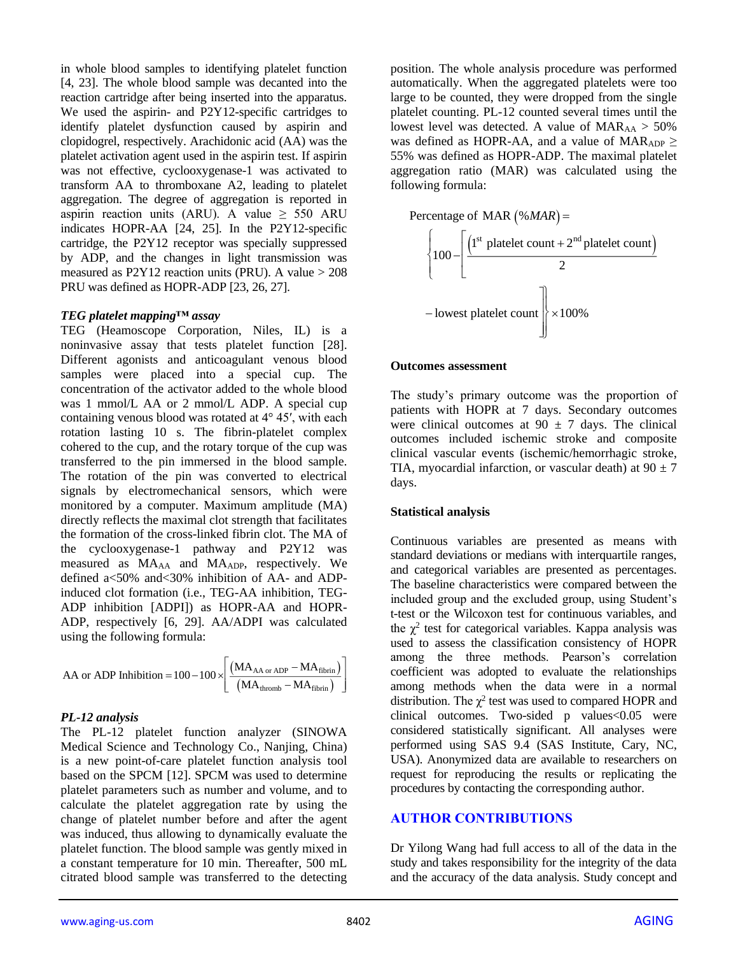in whole blood samples to identifying platelet function [4, 23]. The whole blood sample was decanted into the reaction cartridge after being inserted into the apparatus. We used the aspirin- and P2Y12-specific cartridges to identify platelet dysfunction caused by aspirin and clopidogrel, respectively. Arachidonic acid (AA) was the platelet activation agent used in the aspirin test. If aspirin was not effective, cyclooxygenase-1 was activated to transform AA to thromboxane A2, leading to platelet aggregation. The degree of aggregation is reported in aspirin reaction units (ARU). A value  $\geq$  550 ARU indicates HOPR-AA [24, 25]. In the P2Y12-specific cartridge, the P2Y12 receptor was specially suppressed by ADP, and the changes in light transmission was measured as P2Y12 reaction units (PRU). A value > 208 PRU was defined as HOPR-ADP [23, 26, 27].

#### *TEG platelet mapping™ assay*

TEG (Heamoscope Corporation, Niles, IL) is a noninvasive assay that tests platelet function [28]. Different agonists and anticoagulant venous blood samples were placed into a special cup. The concentration of the activator added to the whole blood was 1 mmol/L AA or 2 mmol/L ADP. A special cup containing venous blood was rotated at 4° 45′, with each rotation lasting 10 s. The fibrin-platelet complex cohered to the cup, and the rotary torque of the cup was transferred to the pin immersed in the blood sample. The rotation of the pin was converted to electrical signals by electromechanical sensors, which were monitored by a computer. Maximum amplitude (MA) directly reflects the maximal clot strength that facilitates the formation of the cross-linked fibrin clot. The MA of the cyclooxygenase-1 pathway and P2Y12 was measured as MAAA and MAADP, respectively. We defined a<50% and<30% inhibition of AA- and ADPinduced clot formation (i.e., TEG-AA inhibition, TEG-ADP inhibition [ADPI]) as HOPR-AA and HOPR-ADP, respectively [6, 29]. AA/ADPI was calculated using the following formula:

$$
\text{AA or ADP Inhibition} = 100 - 100 \times \left[ \frac{\left( \text{MA}_{\text{AA or ADP}} - \text{MA}_{\text{fibrin}} \right)}{\left( \text{MA}_{\text{thromb}} - \text{MA}_{\text{fibrin}} \right)} \right]
$$

#### *PL-12 analysis*

The PL-12 platelet function analyzer (SINOWA Medical Science and Technology Co., Nanjing, China) is a new point-of-care platelet function analysis tool based on the SPCM [12]. SPCM was used to determine platelet parameters such as number and volume, and to calculate the platelet aggregation rate by using the change of platelet number before and after the agent was induced, thus allowing to dynamically evaluate the platelet function. The blood sample was gently mixed in a constant temperature for 10 min. Thereafter, 500 mL citrated blood sample was transferred to the detecting

position. The whole analysis procedure was performed automatically. When the aggregated platelets were too large to be counted, they were dropped from the single platelet counting. PL-12 counted several times until the lowest level was detected. A value of  $MAR_{AA} > 50\%$ was defined as HOPR-AA, and a value of MAR<sub>ADP</sub>  $\geq$ 55% was defined as HOPR-ADP. The maximal platelet aggregation ratio (MAR) was calculated using the following formula:



#### **Outcomes assessment**

The study's primary outcome was the proportion of patients with HOPR at 7 days. Secondary outcomes were clinical outcomes at  $90 \pm 7$  days. The clinical outcomes included ischemic stroke and composite clinical vascular events (ischemic/hemorrhagic stroke, TIA, myocardial infarction, or vascular death) at  $90 \pm 7$ days.

#### **Statistical analysis**

Continuous variables are presented as means with standard deviations or medians with interquartile ranges, and categorical variables are presented as percentages. The baseline characteristics were compared between the included group and the excluded group, using Student's t-test or the Wilcoxon test for continuous variables, and the  $\chi^2$  test for categorical variables. Kappa analysis was used to assess the classification consistency of HOPR among the three methods. Pearson's correlation coefficient was adopted to evaluate the relationships among methods when the data were in a normal distribution. The  $\chi^2$  test was used to compared HOPR and clinical outcomes. Two-sided p values<0.05 were considered statistically significant. All analyses were performed using SAS 9.4 (SAS Institute, Cary, NC, USA). Anonymized data are available to researchers on request for reproducing the results or replicating the procedures by contacting the corresponding author.

## **AUTHOR CONTRIBUTIONS**

Dr Yilong Wang had full access to all of the data in the study and takes responsibility for the integrity of the data and the accuracy of the data analysis. Study concept and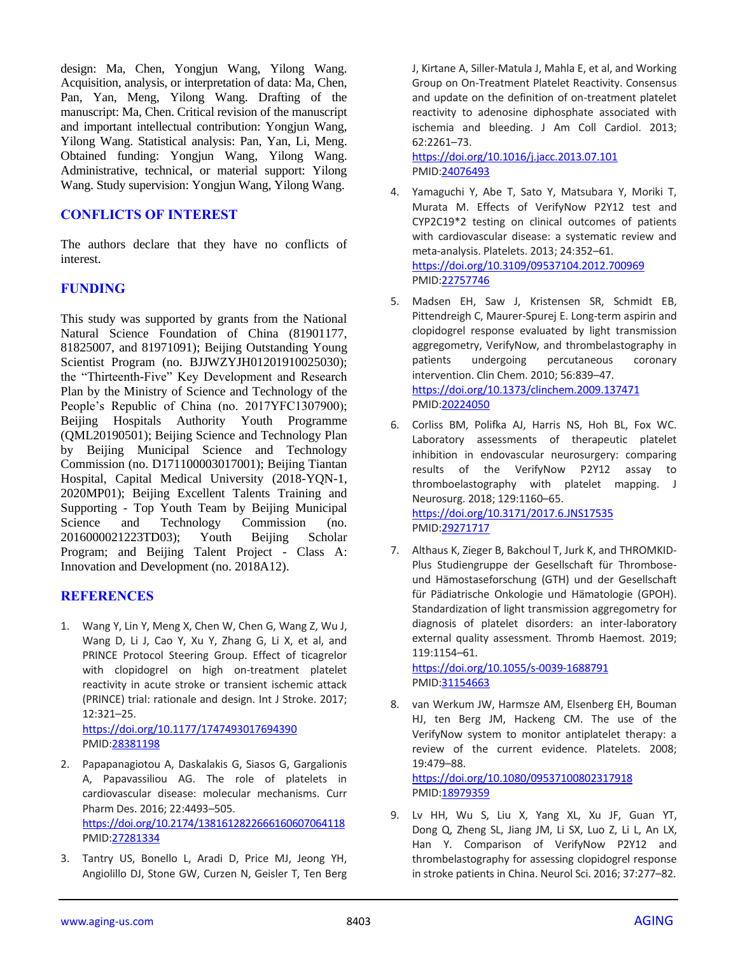design: Ma, Chen, Yongjun Wang, Yilong Wang. Acquisition, analysis, or interpretation of data: Ma, Chen, Pan, Yan, Meng, Yilong Wang. Drafting of the manuscript: Ma, Chen. Critical revision of the manuscript and important intellectual contribution: Yongjun Wang, Yilong Wang. Statistical analysis: Pan, Yan, Li, Meng. Obtained funding: Yongjun Wang, Yilong Wang. Administrative, technical, or material support: Yilong Wang. Study supervision: Yongjun Wang, Yilong Wang.

## **CONFLICTS OF INTEREST**

The authors declare that they have no conflicts of interest.

# **FUNDING**

This study was supported by grants from the National Natural Science Foundation of China (81901177, 81825007, and 81971091); Beijing Outstanding Young Scientist Program (no. BJJWZYJH01201910025030); the "Thirteenth-Five" Key Development and Research Plan by the Ministry of Science and Technology of the People's Republic of China (no. 2017YFC1307900); Beijing Hospitals Authority Youth Programme (QML20190501); Beijing Science and Technology Plan by Beijing Municipal Science and Technology Commission (no. D171100003017001); Beijing Tiantan Hospital, Capital Medical University (2018-YQN-1, 2020MP01); Beijing Excellent Talents Training and Supporting - Top Youth Team by Beijing Municipal Science and Technology Commission (no. 2016000021223TD03); Youth Beijing Scholar Program; and Beijing Talent Project - Class A: Innovation and Development (no. 2018A12).

# **REFERENCES**

1. Wang Y, Lin Y, Meng X, Chen W, Chen G, Wang Z, Wu J, Wang D, Li J, Cao Y, Xu Y, Zhang G, Li X, et al, and PRINCE Protocol Steering Group. Effect of ticagrelor with clopidogrel on high on-treatment platelet reactivity in acute stroke or transient ischemic attack (PRINCE) trial: rationale and design. Int J Stroke. 2017; 12:321–25. <https://doi.org/10.1177/1747493017694390>

PMID[:28381198](https://pubmed.ncbi.nlm.nih.gov/28381198)

- 2. Papapanagiotou A, Daskalakis G, Siasos G, Gargalionis A, Papavassiliou AG. The role of platelets in cardiovascular disease: molecular mechanisms. Curr Pharm Des. 2016; 22:4493–505. <https://doi.org/10.2174/1381612822666160607064118> PMID[:27281334](https://pubmed.ncbi.nlm.nih.gov/27281334)
- 3. Tantry US, Bonello L, Aradi D, Price MJ, Jeong YH, Angiolillo DJ, Stone GW, Curzen N, Geisler T, Ten Berg

J, Kirtane A, Siller-Matula J, Mahla E, et al, and Working Group on On-Treatment Platelet Reactivity. Consensus and update on the definition of on-treatment platelet reactivity to adenosine diphosphate associated with ischemia and bleeding. J Am Coll Cardiol. 2013; 62:2261–73.

<https://doi.org/10.1016/j.jacc.2013.07.101> PMI[D:24076493](https://pubmed.ncbi.nlm.nih.gov/24076493)

- 4. Yamaguchi Y, Abe T, Sato Y, Matsubara Y, Moriki T, Murata M. Effects of VerifyNow P2Y12 test and CYP2C19\*2 testing on clinical outcomes of patients with cardiovascular disease: a systematic review and meta-analysis. Platelets. 2013; 24:352–61. <https://doi.org/10.3109/09537104.2012.700969> PMI[D:22757746](https://pubmed.ncbi.nlm.nih.gov/22757746)
- 5. Madsen EH, Saw J, Kristensen SR, Schmidt EB, Pittendreigh C, Maurer-Spurej E. Long-term aspirin and clopidogrel response evaluated by light transmission aggregometry, VerifyNow, and thrombelastography in patients undergoing percutaneous coronary intervention. Clin Chem. 2010; 56:839–47. <https://doi.org/10.1373/clinchem.2009.137471> PMI[D:20224050](https://pubmed.ncbi.nlm.nih.gov/20224050)
- 6. Corliss BM, Polifka AJ, Harris NS, Hoh BL, Fox WC. Laboratory assessments of therapeutic platelet inhibition in endovascular neurosurgery: comparing results of the VerifyNow P2Y12 assay to thromboelastography with platelet mapping. J Neurosurg. 2018; 129:1160–65. <https://doi.org/10.3171/2017.6.JNS17535> PMI[D:29271717](https://pubmed.ncbi.nlm.nih.gov/29271717)
- 7. Althaus K, Zieger B, Bakchoul T, Jurk K, and THROMKID-Plus Studiengruppe der Gesellschaft für Thromboseund Hämostaseforschung (GTH) und der Gesellschaft für Pädiatrische Onkologie und Hämatologie (GPOH). Standardization of light transmission aggregometry for diagnosis of platelet disorders: an inter-laboratory external quality assessment. Thromb Haemost. 2019; 119:1154–61.

<https://doi.org/10.1055/s-0039-1688791> PMI[D:31154663](https://pubmed.ncbi.nlm.nih.gov/31154663)

8. van Werkum JW, Harmsze AM, Elsenberg EH, Bouman HJ, ten Berg JM, Hackeng CM. The use of the VerifyNow system to monitor antiplatelet therapy: a review of the current evidence. Platelets. 2008; 19:479–88.

<https://doi.org/10.1080/09537100802317918> PMI[D:18979359](https://pubmed.ncbi.nlm.nih.gov/18979359)

9. Lv HH, Wu S, Liu X, Yang XL, Xu JF, Guan YT, Dong Q, Zheng SL, Jiang JM, Li SX, Luo Z, Li L, An LX, Han Y. Comparison of VerifyNow P2Y12 and thrombelastography for assessing clopidogrel response in stroke patients in China. Neurol Sci. 2016; 37:277–82.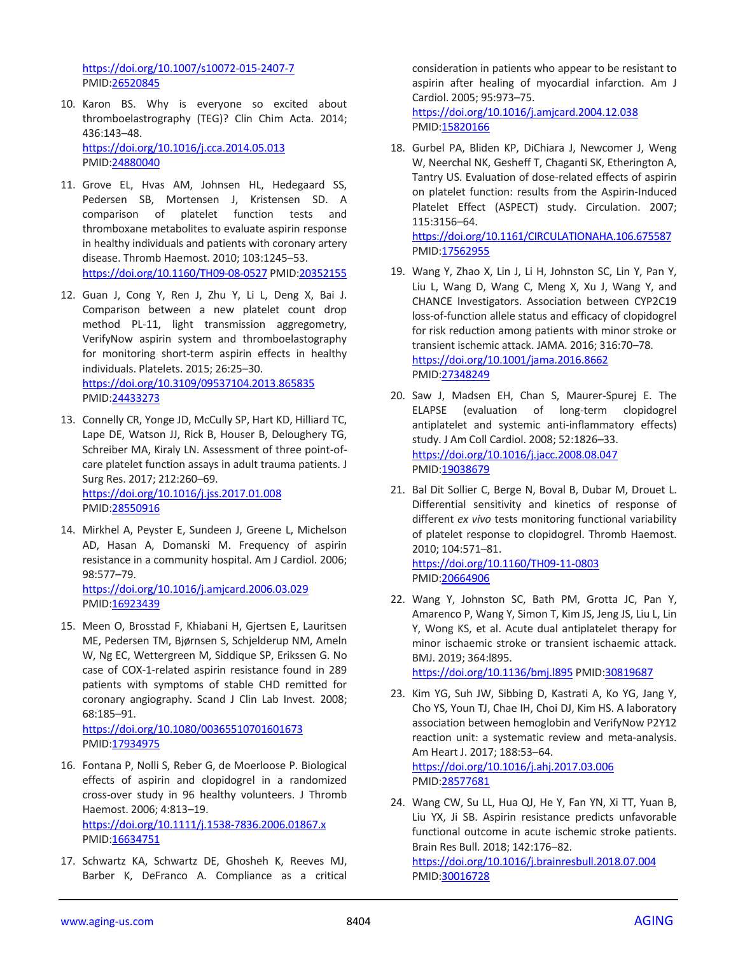<https://doi.org/10.1007/s10072-015-2407-7> PMID[:26520845](https://pubmed.ncbi.nlm.nih.gov/26520845)

10. Karon BS. Why is everyone so excited about thromboelastrography (TEG)? Clin Chim Acta. 2014; 436:143–48. <https://doi.org/10.1016/j.cca.2014.05.013> PMID[:24880040](https://pubmed.ncbi.nlm.nih.gov/24880040)

11. Grove EL, Hvas AM, Johnsen HL, Hedegaard SS, Pedersen SB, Mortensen J, Kristensen SD. A comparison of platelet function tests and thromboxane metabolites to evaluate aspirin response in healthy individuals and patients with coronary artery disease. Thromb Haemost. 2010; 103:1245–53. <https://doi.org/10.1160/TH09-08-0527> PMID[:20352155](https://pubmed.ncbi.nlm.nih.gov/20352155)

- 12. Guan J, Cong Y, Ren J, Zhu Y, Li L, Deng X, Bai J. Comparison between a new platelet count drop method PL-11, light transmission aggregometry, VerifyNow aspirin system and thromboelastography for monitoring short-term aspirin effects in healthy individuals. Platelets. 2015; 26:25–30. <https://doi.org/10.3109/09537104.2013.865835> PMID[:24433273](https://pubmed.ncbi.nlm.nih.gov/24433273)
- 13. Connelly CR, Yonge JD, McCully SP, Hart KD, Hilliard TC, Lape DE, Watson JJ, Rick B, Houser B, Deloughery TG, Schreiber MA, Kiraly LN. Assessment of three point-ofcare platelet function assays in adult trauma patients. J Surg Res. 2017; 212:260–69. <https://doi.org/10.1016/j.jss.2017.01.008> PMID[:28550916](https://pubmed.ncbi.nlm.nih.gov/28550916)
- 14. Mirkhel A, Peyster E, Sundeen J, Greene L, Michelson AD, Hasan A, Domanski M. Frequency of aspirin resistance in a community hospital. Am J Cardiol. 2006; 98:577–79. <https://doi.org/10.1016/j.amjcard.2006.03.029>

PMID[:16923439](https://pubmed.ncbi.nlm.nih.gov/16923439)

15. Meen O, Brosstad F, Khiabani H, Gjertsen E, Lauritsen ME, Pedersen TM, Bjørnsen S, Schjelderup NM, Ameln W, Ng EC, Wettergreen M, Siddique SP, Erikssen G. No case of COX-1-related aspirin resistance found in 289 patients with symptoms of stable CHD remitted for coronary angiography. Scand J Clin Lab Invest. 2008; 68:185–91.

<https://doi.org/10.1080/00365510701601673> PMID[:17934975](https://pubmed.ncbi.nlm.nih.gov/17934975)

- 16. Fontana P, Nolli S, Reber G, de Moerloose P. Biological effects of aspirin and clopidogrel in a randomized cross-over study in 96 healthy volunteers. J Thromb Haemost. 2006; 4:813–19. <https://doi.org/10.1111/j.1538-7836.2006.01867.x> PMID[:16634751](https://pubmed.ncbi.nlm.nih.gov/16634751)
- 17. Schwartz KA, Schwartz DE, Ghosheh K, Reeves MJ, Barber K, DeFranco A. Compliance as a critical

consideration in patients who appear to be resistant to aspirin after healing of myocardial infarction. Am J Cardiol. 2005; 95:973–75. <https://doi.org/10.1016/j.amjcard.2004.12.038> PMI[D:15820166](https://pubmed.ncbi.nlm.nih.gov/15820166)

18. Gurbel PA, Bliden KP, DiChiara J, Newcomer J, Weng W, Neerchal NK, Gesheff T, Chaganti SK, Etherington A, Tantry US. Evaluation of dose-related effects of aspirin on platelet function: results from the Aspirin-Induced Platelet Effect (ASPECT) study. Circulation. 2007; 115:3156–64. <https://doi.org/10.1161/CIRCULATIONAHA.106.675587>

PMI[D:17562955](https://pubmed.ncbi.nlm.nih.gov/17562955)

- 19. Wang Y, Zhao X, Lin J, Li H, Johnston SC, Lin Y, Pan Y, Liu L, Wang D, Wang C, Meng X, Xu J, Wang Y, and CHANCE Investigators. Association between CYP2C19 loss-of-function allele status and efficacy of clopidogrel for risk reduction among patients with minor stroke or transient ischemic attack. JAMA. 2016; 316:70–78. <https://doi.org/10.1001/jama.2016.8662> PMI[D:27348249](https://pubmed.ncbi.nlm.nih.gov/27348249)
- 20. Saw J, Madsen EH, Chan S, Maurer-Spurej E. The ELAPSE (evaluation of long-term clopidogrel antiplatelet and systemic anti-inflammatory effects) study. J Am Coll Cardiol. 2008; 52:1826–33. <https://doi.org/10.1016/j.jacc.2008.08.047> PMI[D:19038679](https://pubmed.ncbi.nlm.nih.gov/19038679)
- 21. Bal Dit Sollier C, Berge N, Boval B, Dubar M, Drouet L. Differential sensitivity and kinetics of response of different *ex vivo* tests monitoring functional variability of platelet response to clopidogrel. Thromb Haemost. 2010; 104:571–81.

<https://doi.org/10.1160/TH09-11-0803> PMI[D:20664906](https://pubmed.ncbi.nlm.nih.gov/20664906)

22. Wang Y, Johnston SC, Bath PM, Grotta JC, Pan Y, Amarenco P, Wang Y, Simon T, Kim JS, Jeng JS, Liu L, Lin Y, Wong KS, et al. Acute dual antiplatelet therapy for minor ischaemic stroke or transient ischaemic attack. BMJ. 2019; 364:l895.

<https://doi.org/10.1136/bmj.l895> PMID[:30819687](https://pubmed.ncbi.nlm.nih.gov/30819687)

- 23. Kim YG, Suh JW, Sibbing D, Kastrati A, Ko YG, Jang Y, Cho YS, Youn TJ, Chae IH, Choi DJ, Kim HS. A laboratory association between hemoglobin and VerifyNow P2Y12 reaction unit: a systematic review and meta-analysis. Am Heart J. 2017; 188:53–64. <https://doi.org/10.1016/j.ahj.2017.03.006> PMI[D:28577681](https://pubmed.ncbi.nlm.nih.gov/28577681)
- 24. Wang CW, Su LL, Hua QJ, He Y, Fan YN, Xi TT, Yuan B, Liu YX, Ji SB. Aspirin resistance predicts unfavorable functional outcome in acute ischemic stroke patients. Brain Res Bull. 2018; 142:176–82. <https://doi.org/10.1016/j.brainresbull.2018.07.004> PMI[D:30016728](https://pubmed.ncbi.nlm.nih.gov/30016728)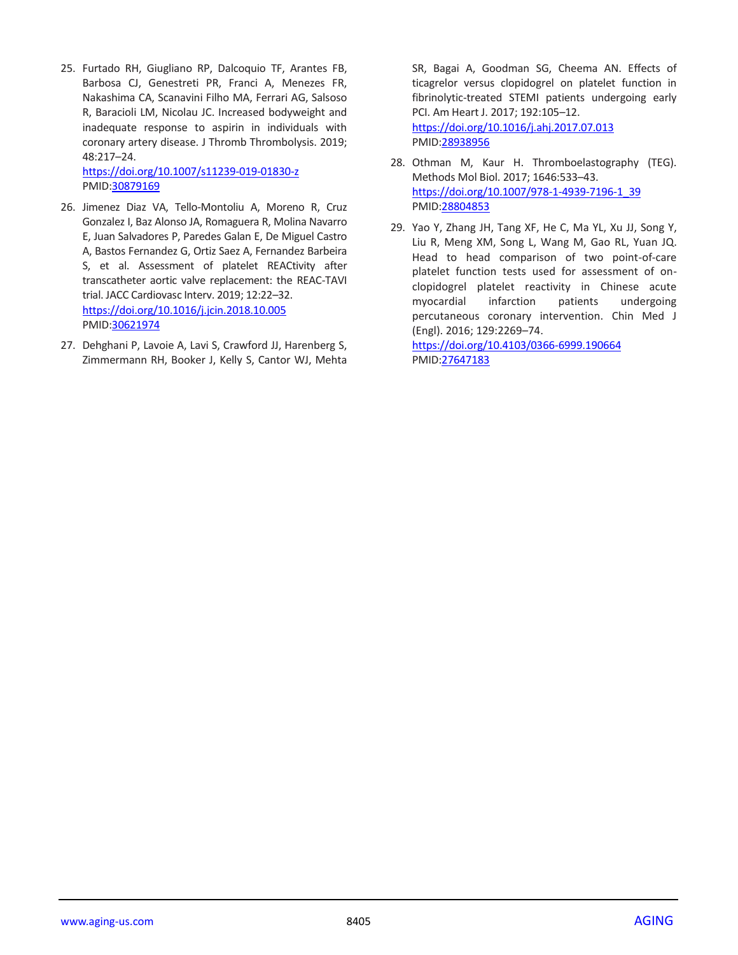25. Furtado RH, Giugliano RP, Dalcoquio TF, Arantes FB, Barbosa CJ, Genestreti PR, Franci A, Menezes FR, Nakashima CA, Scanavini Filho MA, Ferrari AG, Salsoso R, Baracioli LM, Nicolau JC. Increased bodyweight and inadequate response to aspirin in individuals with coronary artery disease. J Thromb Thrombolysis. 2019; 48:217–24.

<https://doi.org/10.1007/s11239-019-01830-z> PMID[:30879169](https://pubmed.ncbi.nlm.nih.gov/30879169)

- 26. Jimenez Diaz VA, Tello-Montoliu A, Moreno R, Cruz Gonzalez I, Baz Alonso JA, Romaguera R, Molina Navarro E, Juan Salvadores P, Paredes Galan E, De Miguel Castro A, Bastos Fernandez G, Ortiz Saez A, Fernandez Barbeira S, et al. Assessment of platelet REACtivity after transcatheter aortic valve replacement: the REAC-TAVI trial. JACC Cardiovasc Interv. 2019; 12:22–32. <https://doi.org/10.1016/j.jcin.2018.10.005> PMID[:30621974](https://pubmed.ncbi.nlm.nih.gov/30621974)
- 27. Dehghani P, Lavoie A, Lavi S, Crawford JJ, Harenberg S, Zimmermann RH, Booker J, Kelly S, Cantor WJ, Mehta

SR, Bagai A, Goodman SG, Cheema AN. Effects of ticagrelor versus clopidogrel on platelet function in fibrinolytic-treated STEMI patients undergoing early PCI. Am Heart J. 2017; 192:105–12. <https://doi.org/10.1016/j.ahj.2017.07.013> PMI[D:28938956](https://pubmed.ncbi.nlm.nih.gov/28938956)

- 28. Othman M, Kaur H. Thromboelastography (TEG). Methods Mol Biol. 2017; 1646:533–43. [https://doi.org/10.1007/978-1-4939-7196-1\\_39](https://doi.org/10.1007/978-1-4939-7196-1_39) PMI[D:28804853](https://pubmed.ncbi.nlm.nih.gov/28804853)
- 29. Yao Y, Zhang JH, Tang XF, He C, Ma YL, Xu JJ, Song Y, Liu R, Meng XM, Song L, Wang M, Gao RL, Yuan JQ. Head to head comparison of two point-of-care platelet function tests used for assessment of onclopidogrel platelet reactivity in Chinese acute myocardial infarction patients undergoing percutaneous coronary intervention. Chin Med J (Engl). 2016; 129:2269–74.

<https://doi.org/10.4103/0366-6999.190664> PMI[D:27647183](https://pubmed.ncbi.nlm.nih.gov/27647183)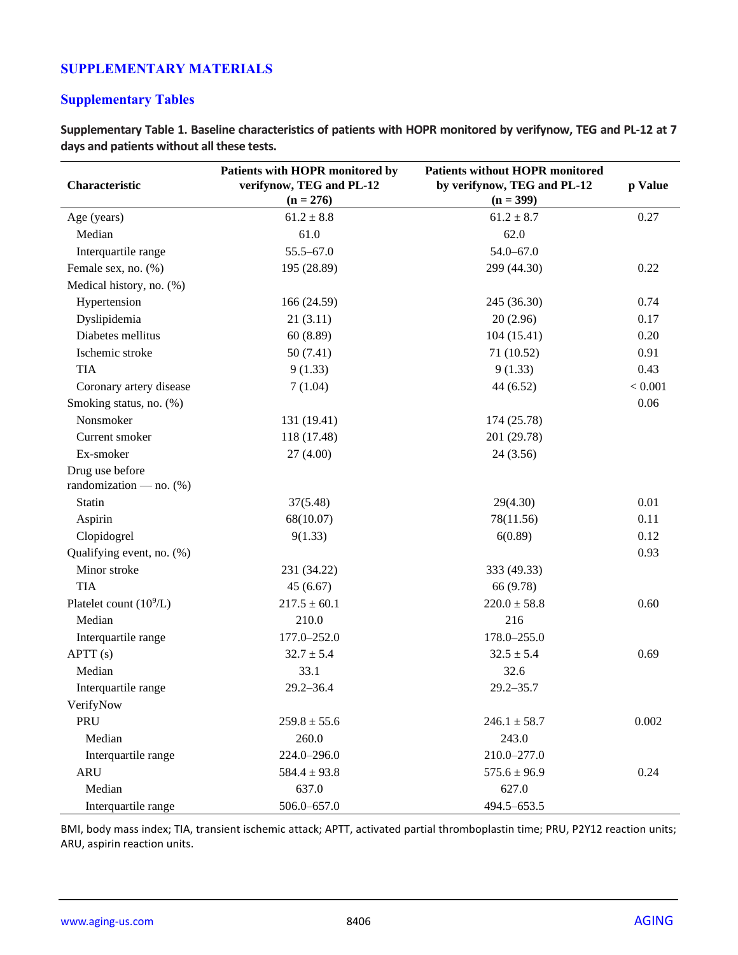# **SUPPLEMENTARY MATERIALS**

# **Supplementary Tables**

**Supplementary Table 1. Baseline characteristics of patients with HOPR monitored by verifynow, TEG and PL-12 at 7 days and patients without all these tests.**

| Characteristic                                | Patients with HOPR monitored by<br>verifynow, TEG and PL-12<br>$(n = 276)$ | <b>Patients without HOPR monitored</b><br>by verifynow, TEG and PL-12<br>$(n = 399)$ | p Value |
|-----------------------------------------------|----------------------------------------------------------------------------|--------------------------------------------------------------------------------------|---------|
| Age (years)                                   | $61.2 \pm 8.8$                                                             | $61.2 \pm 8.7$                                                                       | 0.27    |
| Median                                        | 61.0                                                                       | 62.0                                                                                 |         |
| Interquartile range                           | 55.5-67.0                                                                  | $54.0 - 67.0$                                                                        |         |
| Female sex, no. (%)                           | 195 (28.89)                                                                | 299 (44.30)                                                                          | 0.22    |
| Medical history, no. (%)                      |                                                                            |                                                                                      |         |
| Hypertension                                  | 166 (24.59)                                                                | 245 (36.30)                                                                          | 0.74    |
| Dyslipidemia                                  | 21(3.11)                                                                   | 20(2.96)                                                                             | 0.17    |
| Diabetes mellitus                             | 60(8.89)                                                                   | 104(15.41)                                                                           | 0.20    |
| Ischemic stroke                               | 50(7.41)                                                                   | 71 (10.52)                                                                           | 0.91    |
| <b>TIA</b>                                    | 9(1.33)                                                                    | 9(1.33)                                                                              | 0.43    |
| Coronary artery disease                       | 7(1.04)                                                                    | 44 (6.52)                                                                            | < 0.001 |
| Smoking status, no. (%)                       |                                                                            |                                                                                      | 0.06    |
| Nonsmoker                                     | 131 (19.41)                                                                | 174 (25.78)                                                                          |         |
| Current smoker                                | 118 (17.48)                                                                | 201 (29.78)                                                                          |         |
| Ex-smoker                                     | 27(4.00)                                                                   | 24(3.56)                                                                             |         |
| Drug use before<br>randomization — no. $(\%)$ |                                                                            |                                                                                      |         |
| Statin                                        | 37(5.48)                                                                   | 29(4.30)                                                                             | 0.01    |
| Aspirin                                       | 68(10.07)                                                                  | 78(11.56)                                                                            | 0.11    |
| Clopidogrel                                   | 9(1.33)                                                                    | 6(0.89)                                                                              | 0.12    |
| Qualifying event, no. (%)                     |                                                                            |                                                                                      | 0.93    |
| Minor stroke                                  | 231 (34.22)                                                                | 333 (49.33)                                                                          |         |
| <b>TIA</b>                                    | 45(6.67)                                                                   | 66 (9.78)                                                                            |         |
| Platelet count $(10^9/L)$                     | $217.5 \pm 60.1$                                                           | $220.0 \pm 58.8$                                                                     | 0.60    |
| Median                                        | 210.0                                                                      | 216                                                                                  |         |
| Interquartile range                           | 177.0-252.0                                                                | 178.0-255.0                                                                          |         |
| APTT (s)                                      | $32.7 \pm 5.4$                                                             | $32.5 \pm 5.4$                                                                       | 0.69    |
| Median                                        | 33.1                                                                       | 32.6                                                                                 |         |
| Interquartile range                           | $29.2 - 36.4$                                                              | $29.2 - 35.7$                                                                        |         |
| VerifyNow                                     |                                                                            |                                                                                      |         |
| PRU                                           | $259.8 \pm 55.6$                                                           | $246.1 \pm 58.7$                                                                     | 0.002   |
| Median                                        | 260.0                                                                      | 243.0                                                                                |         |
| Interquartile range                           | 224.0-296.0                                                                | 210.0-277.0                                                                          |         |
| <b>ARU</b>                                    | $584.4 \pm 93.8$                                                           | $575.6 \pm 96.9$                                                                     | 0.24    |
| Median                                        | 637.0                                                                      | 627.0                                                                                |         |
| Interquartile range                           | 506.0-657.0                                                                | 494.5-653.5                                                                          |         |

BMI, body mass index; TIA, transient ischemic attack; APTT, activated partial thromboplastin time; PRU, P2Y12 reaction units; ARU, aspirin reaction units.